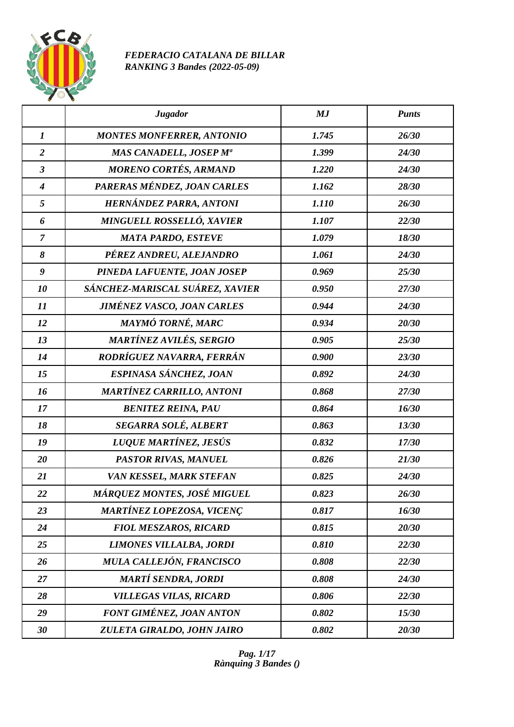

## *FEDERACIO CATALANA DE BILLAR RANKING 3 Bandes (2022-05-09)*

|                  | <b>Jugador</b>                    | MJ    | <b>Punts</b> |
|------------------|-----------------------------------|-------|--------------|
| $\boldsymbol{l}$ | <b>MONTES MONFERRER, ANTONIO</b>  | 1.745 | 26/30        |
| $\overline{2}$   | MAS CANADELL, JOSEP Mª            | 1.399 | 24/30        |
| $\mathfrak{z}$   | <b>MORENO CORTÉS, ARMAND</b>      | 1.220 | 24/30        |
| $\boldsymbol{4}$ | PARERAS MÉNDEZ, JOAN CARLES       | 1.162 | 28/30        |
| 5                | HERNÁNDEZ PARRA, ANTONI           | 1.110 | 26/30        |
| 6                | MINGUELL ROSSELLÓ, XAVIER         | 1.107 | 22/30        |
| $\overline{7}$   | <b>MATA PARDO, ESTEVE</b>         | 1.079 | 18/30        |
| 8                | PÉREZ ANDREU, ALEJANDRO           | 1.061 | 24/30        |
| $\boldsymbol{g}$ | PINEDA LAFUENTE, JOAN JOSEP       | 0.969 | 25/30        |
| 10               | SÁNCHEZ-MARISCAL SUÁREZ, XAVIER   | 0.950 | 27/30        |
| 11               | <b>JIMÉNEZ VASCO, JOAN CARLES</b> | 0.944 | 24/30        |
| 12               | MAYMÓ TORNÉ, MARC                 | 0.934 | 20/30        |
| 13               | MARTÍNEZ AVILÉS, SERGIO           | 0.905 | 25/30        |
| 14               | RODRÍGUEZ NAVARRA, FERRÁN         | 0.900 | 23/30        |
| 15               | ESPINASA SÁNCHEZ, JOAN            | 0.892 | 24/30        |
| 16               | <b>MARTÍNEZ CARRILLO, ANTONI</b>  | 0.868 | 27/30        |
| 17               | <b>BENITEZ REINA, PAU</b>         | 0.864 | 16/30        |
| 18               | SEGARRA SOLÉ, ALBERT              | 0.863 | 13/30        |
| 19               | LUQUE MARTÍNEZ, JESÚS             | 0.832 | 17/30        |
| 20               | PASTOR RIVAS, MANUEL              | 0.826 | 21/30        |
| 21               | VAN KESSEL, MARK STEFAN           | 0.825 | 24/30        |
| 22               | MÁRQUEZ MONTES, JOSÉ MIGUEL       | 0.823 | 26/30        |
| 23               | <b>MARTÍNEZ LOPEZOSA, VICENÇ</b>  | 0.817 | 16/30        |
| 24               | <b>FIOL MESZAROS, RICARD</b>      | 0.815 | 20/30        |
| 25               | LIMONES VILLALBA, JORDI           | 0.810 | 22/30        |
| 26               | MULA CALLEJÓN, FRANCISCO          | 0.808 | 22/30        |
| 27               | <b>MARTÍ SENDRA, JORDI</b>        | 0.808 | 24/30        |
| 28               | <b>VILLEGAS VILAS, RICARD</b>     | 0.806 | 22/30        |
| 29               | <b>FONT GIMÉNEZ, JOAN ANTON</b>   | 0.802 | 15/30        |
| 30               | ZULETA GIRALDO, JOHN JAIRO        | 0.802 | 20/30        |

*Pag. 1/17 Rànquing 3 Bandes ()*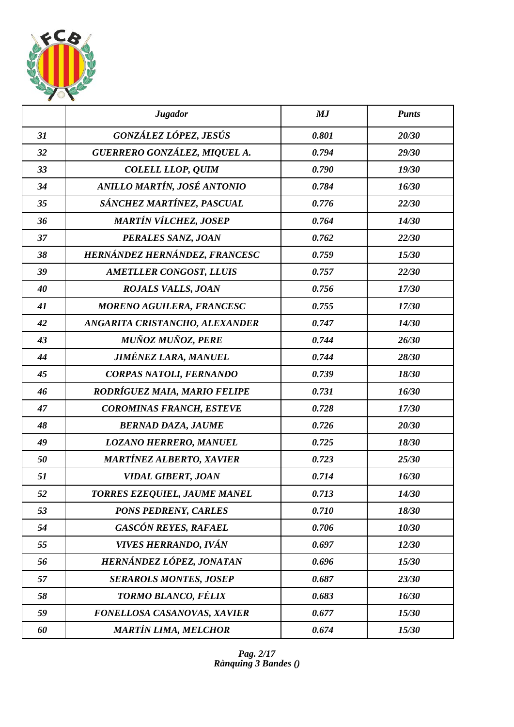

|    | <b>Jugador</b>                   | MJ    | <b>Punts</b> |
|----|----------------------------------|-------|--------------|
| 31 | GONZÁLEZ LÓPEZ, JESÚS            | 0.801 | 20/30        |
| 32 | GUERRERO GONZÁLEZ, MIQUEL A.     | 0.794 | 29/30        |
| 33 | <b>COLELL LLOP, QUIM</b>         | 0.790 | 19/30        |
| 34 | ANILLO MARTÍN, JOSÉ ANTONIO      | 0.784 | 16/30        |
| 35 | SÁNCHEZ MARTÍNEZ, PASCUAL        | 0.776 | 22/30        |
| 36 | <b>MARTÍN VÍLCHEZ, JOSEP</b>     | 0.764 | 14/30        |
| 37 | PERALES SANZ, JOAN               | 0.762 | 22/30        |
| 38 | HERNÁNDEZ HERNÁNDEZ, FRANCESC    | 0.759 | 15/30        |
| 39 | <b>AMETLLER CONGOST, LLUIS</b>   | 0.757 | 22/30        |
| 40 | <b>ROJALS VALLS, JOAN</b>        | 0.756 | 17/30        |
| 41 | <b>MORENO AGUILERA, FRANCESC</b> | 0.755 | 17/30        |
| 42 | ANGARITA CRISTANCHO, ALEXANDER   | 0.747 | 14/30        |
| 43 | <b>MUÑOZ MUÑOZ, PERE</b>         | 0.744 | 26/30        |
| 44 | <b>JIMÉNEZ LARA, MANUEL</b>      | 0.744 | 28/30        |
| 45 | CORPAS NATOLI, FERNANDO          | 0.739 | 18/30        |
| 46 | RODRÍGUEZ MAIA, MARIO FELIPE     | 0.731 | 16/30        |
| 47 | <b>COROMINAS FRANCH, ESTEVE</b>  | 0.728 | 17/30        |
| 48 | <b>BERNAD DAZA, JAUME</b>        | 0.726 | 20/30        |
| 49 | <b>LOZANO HERRERO, MANUEL</b>    | 0.725 | 18/30        |
| 50 | <b>MARTÍNEZ ALBERTO, XAVIER</b>  | 0.723 | 25/30        |
| 51 | <b>VIDAL GIBERT, JOAN</b>        | 0.714 | 16/30        |
| 52 | TORRES EZEQUIEL, JAUME MANEL     | 0.713 | 14/30        |
| 53 | <b>PONS PEDRENY, CARLES</b>      | 0.710 | 18/30        |
| 54 | <b>GASCÓN REYES, RAFAEL</b>      | 0.706 | 10/30        |
| 55 | <b>VIVES HERRANDO, IVÁN</b>      | 0.697 | 12/30        |
| 56 | HERNÁNDEZ LÓPEZ, JONATAN         | 0.696 | 15/30        |
| 57 | <b>SERAROLS MONTES, JOSEP</b>    | 0.687 | 23/30        |
| 58 | TORMO BLANCO, FÉLIX              | 0.683 | 16/30        |
| 59 | FONELLOSA CASANOVAS, XAVIER      | 0.677 | 15/30        |
| 60 | <b>MARTÍN LIMA, MELCHOR</b>      | 0.674 | 15/30        |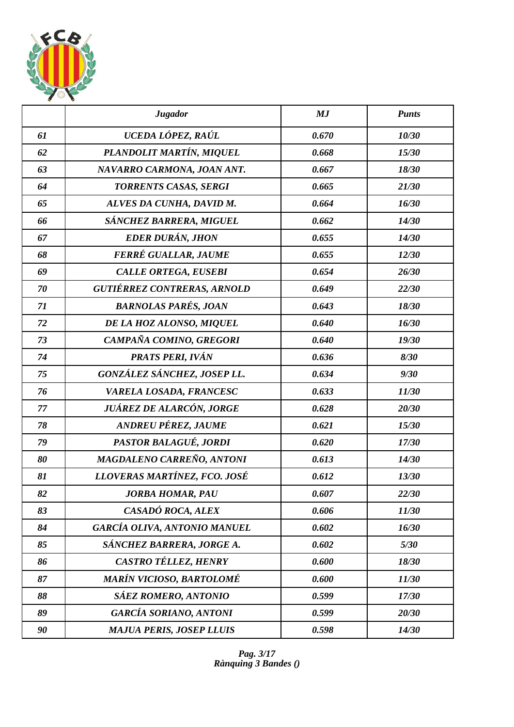

|    | <b>Jugador</b>                      | MJ    | <b>Punts</b> |
|----|-------------------------------------|-------|--------------|
| 61 | UCEDA LÓPEZ, RAÚL                   | 0.670 | 10/30        |
| 62 | PLANDOLIT MARTÍN, MIQUEL            | 0.668 | 15/30        |
| 63 | NAVARRO CARMONA, JOAN ANT.          | 0.667 | 18/30        |
| 64 | <b>TORRENTS CASAS, SERGI</b>        | 0.665 | 21/30        |
| 65 | ALVES DA CUNHA, DAVID M.            | 0.664 | 16/30        |
| 66 | SÁNCHEZ BARRERA, MIGUEL             | 0.662 | 14/30        |
| 67 | <b>EDER DURÁN, JHON</b>             | 0.655 | 14/30        |
| 68 | FERRÉ GUALLAR, JAUME                | 0.655 | 12/30        |
| 69 | <b>CALLE ORTEGA, EUSEBI</b>         | 0.654 | 26/30        |
| 70 | <b>GUTIÉRREZ CONTRERAS, ARNOLD</b>  | 0.649 | 22/30        |
| 71 | <b>BARNOLAS PARÉS, JOAN</b>         | 0.643 | 18/30        |
| 72 | DE LA HOZ ALONSO, MIQUEL            | 0.640 | 16/30        |
| 73 | CAMPAÑA COMINO, GREGORI             | 0.640 | 19/30        |
| 74 | PRATS PERI, IVÁN                    | 0.636 | 8/30         |
| 75 | GONZÁLEZ SÁNCHEZ, JOSEP LL.         | 0.634 | 9/30         |
| 76 | VARELA LOSADA, FRANCESC             | 0.633 | 11/30        |
| 77 | JUÁREZ DE ALARCÓN, JORGE            | 0.628 | 20/30        |
| 78 | ANDREU PÉREZ, JAUME                 | 0.621 | 15/30        |
| 79 | PASTOR BALAGUÉ, JORDI               | 0.620 | 17/30        |
| 80 | MAGDALENO CARREÑO, ANTONI           | 0.613 | 14/30        |
| 81 | LLOVERAS MARTÍNEZ, FCO. JOSÉ        | 0.612 | 13/30        |
| 82 | <b>JORBA HOMAR, PAU</b>             | 0.607 | 22/30        |
| 83 | CASADÓ ROCA, ALEX                   | 0.606 | 11/30        |
| 84 | <b>GARCÍA OLIVA, ANTONIO MANUEL</b> | 0.602 | 16/30        |
| 85 | SÁNCHEZ BARRERA, JORGE A.           | 0.602 | 5/30         |
| 86 | CASTRO TÉLLEZ, HENRY                | 0.600 | 18/30        |
| 87 | MARÍN VICIOSO, BARTOLOMÉ            | 0.600 | 11/30        |
| 88 | <b>SÁEZ ROMERO, ANTONIO</b>         | 0.599 | 17/30        |
| 89 | <b>GARCÍA SORIANO, ANTONI</b>       | 0.599 | 20/30        |
| 90 | <b>MAJUA PERIS, JOSEP LLUIS</b>     | 0.598 | 14/30        |

*Pag. 3/17 Rànquing 3 Bandes ()*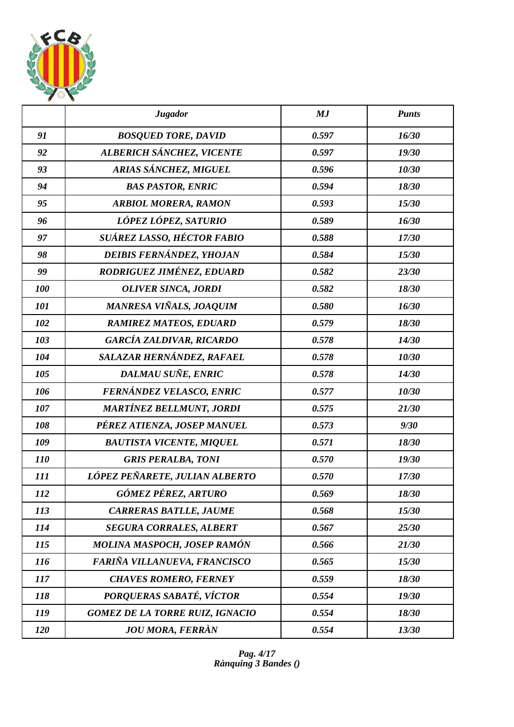

|            | <b>Jugador</b>                         | MJ    | <b>Punts</b> |
|------------|----------------------------------------|-------|--------------|
| 91         | <b>BOSQUED TORE, DAVID</b>             | 0.597 | 16/30        |
| 92         | ALBERICH SÁNCHEZ, VICENTE              | 0.597 | 19/30        |
| 93         | ARIAS SÁNCHEZ, MIGUEL                  | 0.596 | 10/30        |
| 94         | <b>BAS PASTOR, ENRIC</b>               | 0.594 | 18/30        |
| 95         | <b>ARBIOL MORERA, RAMON</b>            | 0.593 | 15/30        |
| 96         | LÓPEZ LÓPEZ, SATURIO                   | 0.589 | 16/30        |
| 97         | SUÁREZ LASSO, HÉCTOR FABIO             | 0.588 | 17/30        |
| 98         | DEIBIS FERNÁNDEZ, YHOJAN               | 0.584 | 15/30        |
| 99         | RODRIGUEZ JIMÉNEZ, EDUARD              | 0.582 | 23/30        |
| 100        | <b>OLIVER SINCA, JORDI</b>             | 0.582 | 18/30        |
| 101        | MANRESA VIÑALS, JOAQUIM                | 0.580 | 16/30        |
| 102        | <b>RAMIREZ MATEOS, EDUARD</b>          | 0.579 | 18/30        |
| 103        | <b>GARCÍA ZALDIVAR, RICARDO</b>        | 0.578 | 14/30        |
| 104        | SALAZAR HERNÁNDEZ, RAFAEL              | 0.578 | 10/30        |
| 105        | DALMAU SUÑE, ENRIC                     | 0.578 | 14/30        |
| 106        | FERNÁNDEZ VELASCO, ENRIC               | 0.577 | 10/30        |
| 107        | <b>MARTÍNEZ BELLMUNT, JORDI</b>        | 0.575 | 21/30        |
| 108        | PÉREZ ATIENZA, JOSEP MANUEL            | 0.573 | 9/30         |
| 109        | <b>BAUTISTA VICENTE, MIQUEL</b>        | 0.571 | 18/30        |
| <i>110</i> | <b>GRIS PERALBA, TONI</b>              | 0.570 | 19/30        |
| 111        | LÓPEZ PEÑARETE, JULIAN ALBERTO         | 0.570 | 17/30        |
| 112        | GÓMEZ PÉREZ, ARTURO                    | 0.569 | 18/30        |
| 113        | <b>CARRERAS BATLLE, JAUME</b>          | 0.568 | 15/30        |
| 114        | <b>SEGURA CORRALES, ALBERT</b>         | 0.567 | 25/30        |
| 115        | MOLINA MASPOCH, JOSEP RAMÓN            | 0.566 | 21/30        |
| <b>116</b> | FARIÑA VILLANUEVA, FRANCISCO           | 0.565 | 15/30        |
| 117        | <b>CHAVES ROMERO, FERNEY</b>           | 0.559 | 18/30        |
| 118        | PORQUERAS SABATÉ, VÍCTOR               | 0.554 | 19/30        |
| 119        | <b>GOMEZ DE LA TORRE RUIZ, IGNACIO</b> | 0.554 | 18/30        |
| 120        | <b>JOU MORA, FERRÀN</b>                | 0.554 | 13/30        |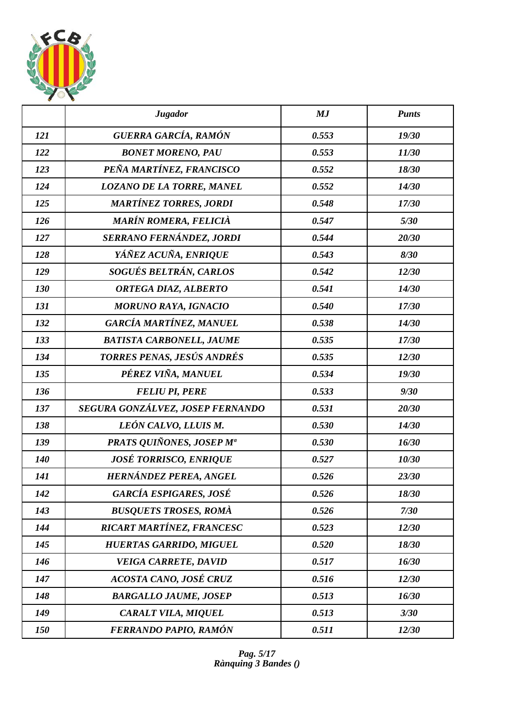

|            | <b>Jugador</b>                   | MJ    | <b>Punts</b> |
|------------|----------------------------------|-------|--------------|
| 121        | GUERRA GARCÍA, RAMÓN             | 0.553 | 19/30        |
| 122        | <b>BONET MORENO, PAU</b>         | 0.553 | 11/30        |
| 123        | PEÑA MARTÍNEZ, FRANCISCO         | 0.552 | 18/30        |
| 124        | <b>LOZANO DE LA TORRE, MANEL</b> | 0.552 | 14/30        |
| 125        | <b>MARTÍNEZ TORRES, JORDI</b>    | 0.548 | 17/30        |
| 126        | <b>MARÍN ROMERA, FELICIÀ</b>     | 0.547 | 5/30         |
| 127        | SERRANO FERNÁNDEZ, JORDI         | 0.544 | 20/30        |
| 128        | YÁÑEZ ACUÑA, ENRIQUE             | 0.543 | 8/30         |
| 129        | SOGUÉS BELTRÁN, CARLOS           | 0.542 | 12/30        |
| 130        | ORTEGA DIAZ, ALBERTO             | 0.541 | 14/30        |
| 131        | <b>MORUNO RAYA, IGNACIO</b>      | 0.540 | 17/30        |
| 132        | GARCÍA MARTÍNEZ, MANUEL          | 0.538 | 14/30        |
| 133        | <b>BATISTA CARBONELL, JAUME</b>  | 0.535 | 17/30        |
| 134        | TORRES PENAS, JESÚS ANDRÉS       | 0.535 | 12/30        |
| 135        | PÉREZ VIÑA, MANUEL               | 0.534 | 19/30        |
| 136        | <b>FELIU PI, PERE</b>            | 0.533 | 9/30         |
| 137        | SEGURA GONZÁLVEZ, JOSEP FERNANDO | 0.531 | 20/30        |
| 138        | LEÓN CALVO, LLUIS M.             | 0.530 | 14/30        |
| 139        | PRATS QUIÑONES, JOSEP Mª         | 0.530 | 16/30        |
| <b>140</b> | <b>JOSÉ TORRISCO, ENRIQUE</b>    | 0.527 | 10/30        |
| 141        | HERNÁNDEZ PEREA, ANGEL           | 0.526 | 23/30        |
| 142        | <b>GARCÍA ESPIGARES, JOSÉ</b>    | 0.526 | 18/30        |
| 143        | <b>BUSQUETS TROSES, ROMÀ</b>     | 0.526 | 7/30         |
| 144        | RICART MARTÍNEZ, FRANCESC        | 0.523 | 12/30        |
| 145        | <b>HUERTAS GARRIDO, MIGUEL</b>   | 0.520 | 18/30        |
| 146        | <b>VEIGA CARRETE, DAVID</b>      | 0.517 | 16/30        |
| 147        | ACOSTA CANO, JOSÉ CRUZ           | 0.516 | 12/30        |
| 148        | <b>BARGALLO JAUME, JOSEP</b>     | 0.513 | 16/30        |
| 149        | CARALT VILA, MIQUEL              | 0.513 | 3/30         |
| 150        | FERRANDO PAPIO, RAMÓN            | 0.511 | 12/30        |

*Pag. 5/17 Rànquing 3 Bandes ()*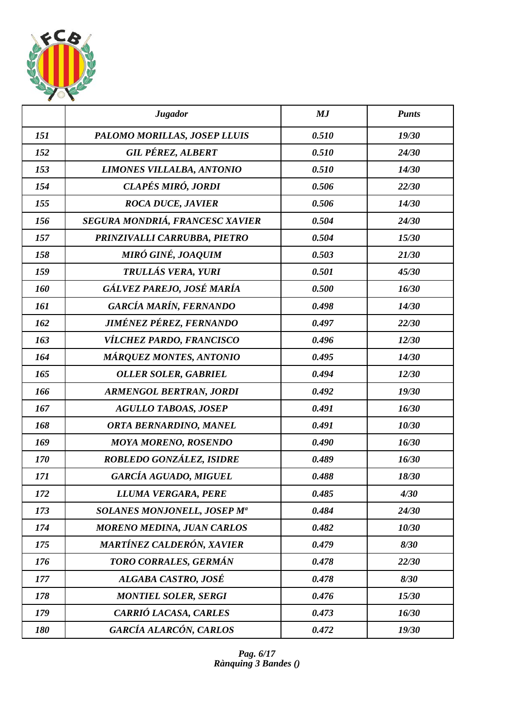

|     | <b>Jugador</b>                    | MJ    | <b>Punts</b> |
|-----|-----------------------------------|-------|--------------|
| 151 | PALOMO MORILLAS, JOSEP LLUIS      | 0.510 | 19/30        |
| 152 | <b>GIL PÉREZ, ALBERT</b>          | 0.510 | 24/30        |
| 153 | <b>LIMONES VILLALBA, ANTONIO</b>  | 0.510 | 14/30        |
| 154 | CLAPÉS MIRÓ, JORDI                | 0.506 | 22/30        |
| 155 | <b>ROCA DUCE, JAVIER</b>          | 0.506 | 14/30        |
| 156 | SEGURA MONDRIÁ, FRANCESC XAVIER   | 0.504 | 24/30        |
| 157 | PRINZIVALLI CARRUBBA, PIETRO      | 0.504 | 15/30        |
| 158 | MIRÓ GINÉ, JOAQUIM                | 0.503 | 21/30        |
| 159 | TRULLÁS VERA, YURI                | 0.501 | 45/30        |
| 160 | GÁLVEZ PAREJO, JOSÉ MARÍA         | 0.500 | 16/30        |
| 161 | GARCÍA MARÍN, FERNANDO            | 0.498 | 14/30        |
| 162 | JIMÉNEZ PÉREZ, FERNANDO           | 0.497 | 22/30        |
| 163 | VÍLCHEZ PARDO, FRANCISCO          | 0.496 | 12/30        |
| 164 | <b>MÁRQUEZ MONTES, ANTONIO</b>    | 0.495 | 14/30        |
| 165 | <b>OLLER SOLER, GABRIEL</b>       | 0.494 | 12/30        |
| 166 | <b>ARMENGOL BERTRAN, JORDI</b>    | 0.492 | 19/30        |
| 167 | <b>AGULLO TABOAS, JOSEP</b>       | 0.491 | 16/30        |
| 168 | ORTA BERNARDINO, MANEL            | 0.491 | 10/30        |
| 169 | <b>MOYA MORENO, ROSENDO</b>       | 0.490 | 16/30        |
| 170 | ROBLEDO GONZÁLEZ, ISIDRE          | 0.489 | 16/30        |
| 171 | GARCÍA AGUADO, MIGUEL             | 0.488 | 18/30        |
| 172 | LLUMA VERGARA, PERE               | 0.485 | 4/30         |
| 173 | SOLANES MONJONELL, JOSEP Ma       | 0.484 | 24/30        |
| 174 | <b>MORENO MEDINA, JUAN CARLOS</b> | 0.482 | 10/30        |
| 175 | MARTÍNEZ CALDERÓN, XAVIER         | 0.479 | 8/30         |
| 176 | TORO CORRALES, GERMÁN             | 0.478 | 22/30        |
| 177 | ALGABA CASTRO, JOSÉ               | 0.478 | 8/30         |
| 178 | <b>MONTIEL SOLER, SERGI</b>       | 0.476 | 15/30        |
| 179 | CARRIÓ LACASA, CARLES             | 0.473 | 16/30        |
| 180 | GARCÍA ALARCÓN, CARLOS            | 0.472 | 19/30        |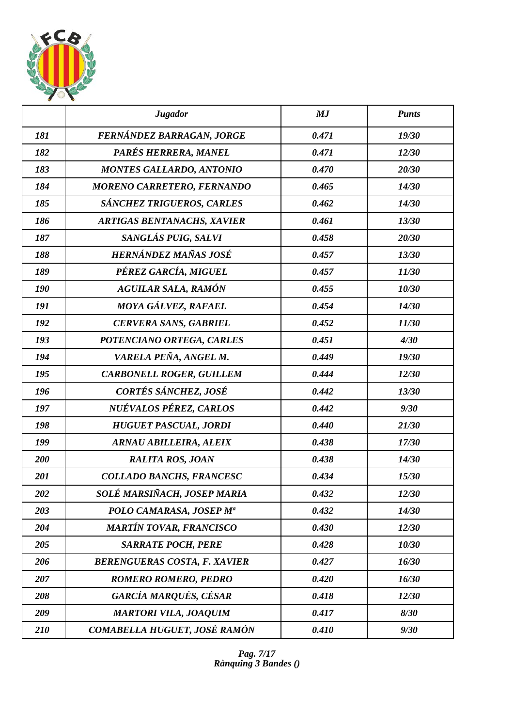

|     | <b>Jugador</b>                      | MJ    | <b>Punts</b> |
|-----|-------------------------------------|-------|--------------|
| 181 | FERNÁNDEZ BARRAGAN, JORGE           | 0.471 | 19/30        |
| 182 | PARÉS HERRERA, MANEL                | 0.471 | 12/30        |
| 183 | <b>MONTES GALLARDO, ANTONIO</b>     | 0.470 | 20/30        |
| 184 | MORENO CARRETERO, FERNANDO          | 0.465 | 14/30        |
| 185 | SÁNCHEZ TRIGUEROS, CARLES           | 0.462 | 14/30        |
| 186 | <b>ARTIGAS BENTANACHS, XAVIER</b>   | 0.461 | 13/30        |
| 187 | SANGLÁS PUIG, SALVI                 | 0.458 | 20/30        |
| 188 | HERNÁNDEZ MAÑAS JOSÉ                | 0.457 | 13/30        |
| 189 | PÉREZ GARCÍA, MIGUEL                | 0.457 | 11/30        |
| 190 | <b>AGUILAR SALA, RAMÓN</b>          | 0.455 | 10/30        |
| 191 | MOYA GÁLVEZ, RAFAEL                 | 0.454 | 14/30        |
| 192 | <b>CERVERA SANS, GABRIEL</b>        | 0.452 | 11/30        |
| 193 | POTENCIANO ORTEGA, CARLES           | 0.451 | 4/30         |
| 194 | VARELA PEÑA, ANGEL M.               | 0.449 | 19/30        |
| 195 | <b>CARBONELL ROGER, GUILLEM</b>     | 0.444 | 12/30        |
| 196 | CORTÉS SÁNCHEZ, JOSÉ                | 0.442 | 13/30        |
| 197 | NUÉVALOS PÉREZ, CARLOS              | 0.442 | 9/30         |
| 198 | <b>HUGUET PASCUAL, JORDI</b>        | 0.440 | 21/30        |
| 199 | <b>ARNAU ABILLEIRA, ALEIX</b>       | 0.438 | 17/30        |
| 200 | <b>RALITA ROS, JOAN</b>             | 0.438 | 14/30        |
| 201 | COLLADO BANCHS, FRANCESC            | 0.434 | 15/30        |
| 202 | SOLÉ MARSIÑACH, JOSEP MARIA         | 0.432 | 12/30        |
| 203 | POLO CAMARASA, JOSEP Mª             | 0.432 | 14/30        |
| 204 | <b>MARTÍN TOVAR, FRANCISCO</b>      | 0.430 | 12/30        |
| 205 | <b>SARRATE POCH, PERE</b>           | 0.428 | 10/30        |
| 206 | <b>BERENGUERAS COSTA, F. XAVIER</b> | 0.427 | 16/30        |
| 207 | <b>ROMERO ROMERO, PEDRO</b>         | 0.420 | 16/30        |
| 208 | GARCÍA MARQUÉS, CÉSAR               | 0.418 | 12/30        |
| 209 | <b>MARTORI VILA, JOAQUIM</b>        | 0.417 | 8/30         |
| 210 | COMABELLA HUGUET, JOSÉ RAMÓN        | 0.410 | 9/30         |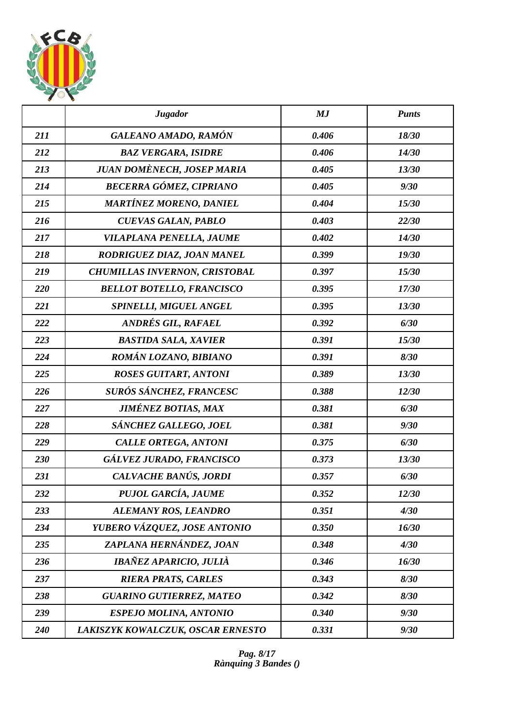

|     | <b>Jugador</b>                       | MJ    | <b>Punts</b> |
|-----|--------------------------------------|-------|--------------|
| 211 | GALEANO AMADO, RAMÓN                 | 0.406 | 18/30        |
| 212 | <b>BAZ VERGARA, ISIDRE</b>           | 0.406 | 14/30        |
| 213 | <b>JUAN DOMÈNECH, JOSEP MARIA</b>    | 0.405 | 13/30        |
| 214 | BECERRA GÓMEZ, CIPRIANO              | 0.405 | 9/30         |
| 215 | <b>MARTÍNEZ MORENO, DANIEL</b>       | 0.404 | 15/30        |
| 216 | <b>CUEVAS GALAN, PABLO</b>           | 0.403 | 22/30        |
| 217 | VILAPLANA PENELLA, JAUME             | 0.402 | 14/30        |
| 218 | RODRIGUEZ DIAZ, JOAN MANEL           | 0.399 | 19/30        |
| 219 | <b>CHUMILLAS INVERNON, CRISTOBAL</b> | 0.397 | 15/30        |
| 220 | <b>BELLOT BOTELLO, FRANCISCO</b>     | 0.395 | 17/30        |
| 221 | SPINELLI, MIGUEL ANGEL               | 0.395 | 13/30        |
| 222 | ANDRÉS GIL, RAFAEL                   | 0.392 | 6/30         |
| 223 | <b>BASTIDA SALA, XAVIER</b>          | 0.391 | 15/30        |
| 224 | ROMÁN LOZANO, BIBIANO                | 0.391 | 8/30         |
| 225 | <b>ROSES GUITART, ANTONI</b>         | 0.389 | 13/30        |
| 226 | SURÓS SÁNCHEZ, FRANCESC              | 0.388 | 12/30        |
| 227 | <b>JIMÉNEZ BOTIAS, MAX</b>           | 0.381 | 6/30         |
| 228 | SÁNCHEZ GALLEGO, JOEL                | 0.381 | 9/30         |
| 229 | <b>CALLE ORTEGA, ANTONI</b>          | 0.375 | 6/30         |
| 230 | GÁLVEZ JURADO, FRANCISCO             | 0.373 | 13/30        |
| 231 | CALVACHE BANÚS, JORDI                | 0.357 | 6/30         |
| 232 | PUJOL GARCÍA, JAUME                  | 0.352 | 12/30        |
| 233 | ALEMANY ROS, LEANDRO                 | 0.351 | 4/30         |
| 234 | YUBERO VÁZQUEZ, JOSE ANTONIO         | 0.350 | 16/30        |
| 235 | ZAPLANA HERNÁNDEZ, JOAN              | 0.348 | 4/30         |
| 236 | IBAÑEZ APARICIO, JULIÀ               | 0.346 | 16/30        |
| 237 | <b>RIERA PRATS, CARLES</b>           | 0.343 | 8/30         |
| 238 | <b>GUARINO GUTIERREZ, MATEO</b>      | 0.342 | 8/30         |
| 239 | <b>ESPEJO MOLINA, ANTONIO</b>        | 0.340 | 9/30         |
| 240 | LAKISZYK KOWALCZUK, OSCAR ERNESTO    | 0.331 | 9/30         |

*Pag. 8/17 Rànquing 3 Bandes ()*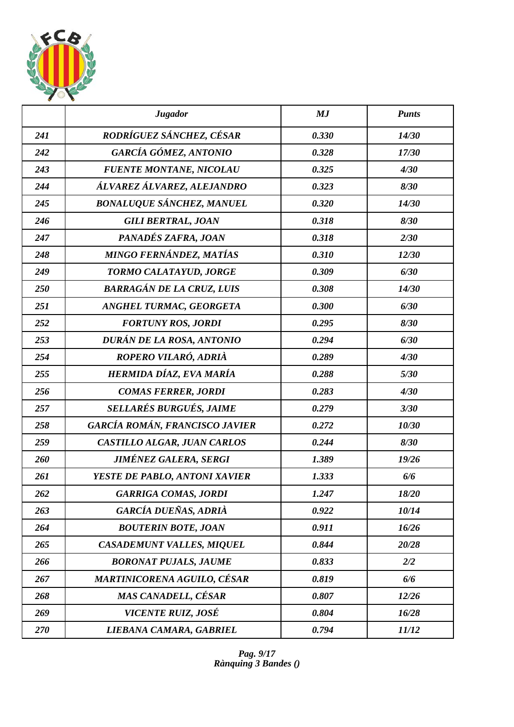

|     | <b>Jugador</b>                     | MJ    | <b>Punts</b> |
|-----|------------------------------------|-------|--------------|
| 241 | RODRÍGUEZ SÁNCHEZ, CÉSAR           | 0.330 | 14/30        |
| 242 | GARCÍA GÓMEZ, ANTONIO              | 0.328 | 17/30        |
| 243 | <b>FUENTE MONTANE, NICOLAU</b>     | 0.325 | 4/30         |
| 244 | ÁLVAREZ ÁLVAREZ, ALEJANDRO         | 0.323 | 8/30         |
| 245 | <b>BONALUQUE SÁNCHEZ, MANUEL</b>   | 0.320 | 14/30        |
| 246 | <b>GILI BERTRAL, JOAN</b>          | 0.318 | 8/30         |
| 247 | PANADÉS ZAFRA, JOAN                | 0.318 | 2/30         |
| 248 | MINGO FERNÁNDEZ, MATÍAS            | 0.310 | 12/30        |
| 249 | TORMO CALATAYUD, JORGE             | 0.309 | 6/30         |
| 250 | <b>BARRAGÁN DE LA CRUZ, LUIS</b>   | 0.308 | 14/30        |
| 251 | ANGHEL TURMAC, GEORGETA            | 0.300 | 6/30         |
| 252 | <b>FORTUNY ROS, JORDI</b>          | 0.295 | 8/30         |
| 253 | DURÁN DE LA ROSA, ANTONIO          | 0.294 | 6/30         |
| 254 | ROPERO VILARÓ, ADRIÀ               | 0.289 | 4/30         |
| 255 | HERMIDA DÍAZ, EVA MARÍA            | 0.288 | 5/30         |
| 256 | <b>COMAS FERRER, JORDI</b>         | 0.283 | 4/30         |
| 257 | <b>SELLARÉS BURGUÉS, JAIME</b>     | 0.279 | 3/30         |
| 258 | GARCÍA ROMÁN, FRANCISCO JAVIER     | 0.272 | 10/30        |
| 259 | CASTILLO ALGAR, JUAN CARLOS        | 0.244 | 8/30         |
| 260 | <b>JIMÉNEZ GALERA, SERGI</b>       | 1.389 | 19/26        |
| 261 | YESTE DE PABLO, ANTONI XAVIER      | 1.333 | 6/6          |
| 262 | <b>GARRIGA COMAS, JORDI</b>        | 1.247 | 18/20        |
| 263 | <b>GARCÍA DUEÑAS, ADRIÀ</b>        | 0.922 | 10/14        |
| 264 | <b>BOUTERIN BOTE, JOAN</b>         | 0.911 | 16/26        |
| 265 | <b>CASADEMUNT VALLES, MIQUEL</b>   | 0.844 | 20/28        |
| 266 | <b>BORONAT PUJALS, JAUME</b>       | 0.833 | 2/2          |
| 267 | <b>MARTINICORENA AGUILO, CÉSAR</b> | 0.819 | 6/6          |
| 268 | MAS CANADELL, CÉSAR                | 0.807 | 12/26        |
| 269 | VICENTE RUIZ, JOSÉ                 | 0.804 | 16/28        |
| 270 | LIEBANA CAMARA, GABRIEL            | 0.794 | 11/12        |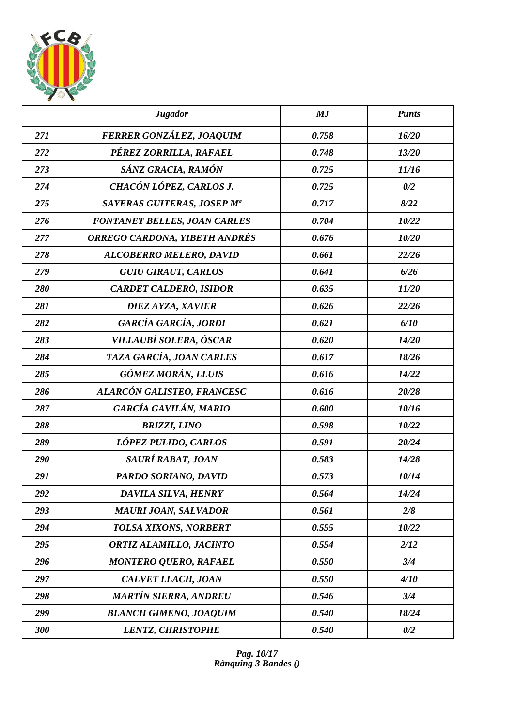

|     | <b>Jugador</b>                       | MJ    | <b>Punts</b> |
|-----|--------------------------------------|-------|--------------|
| 271 | FERRER GONZÁLEZ, JOAQUIM             | 0.758 | 16/20        |
| 272 | PÉREZ ZORRILLA, RAFAEL               | 0.748 | 13/20        |
| 273 | SÁNZ GRACIA, RAMÓN                   | 0.725 | 11/16        |
| 274 | CHACÓN LÓPEZ, CARLOS J.              | 0.725 | 0/2          |
| 275 | SAYERAS GUITERAS, JOSEP Mª           | 0.717 | 8/22         |
| 276 | <b>FONTANET BELLES, JOAN CARLES</b>  | 0.704 | 10/22        |
| 277 | <b>ORREGO CARDONA, YIBETH ANDRÉS</b> | 0.676 | 10/20        |
| 278 | <b>ALCOBERRO MELERO, DAVID</b>       | 0.661 | 22/26        |
| 279 | <b>GUIU GIRAUT, CARLOS</b>           | 0.641 | 6/26         |
| 280 | CARDET CALDERÓ, ISIDOR               | 0.635 | 11/20        |
| 281 | DIEZ AYZA, XAVIER                    | 0.626 | 22/26        |
| 282 | GARCÍA GARCÍA, JORDI                 | 0.621 | 6/10         |
| 283 | VILLAUBÍ SOLERA, ÓSCAR               | 0.620 | 14/20        |
| 284 | TAZA GARCÍA, JOAN CARLES             | 0.617 | 18/26        |
| 285 | <b>GÓMEZ MORÁN, LLUIS</b>            | 0.616 | 14/22        |
| 286 | ALARCÓN GALISTEO, FRANCESC           | 0.616 | 20/28        |
| 287 | GARCÍA GAVILÁN, MARIO                | 0.600 | 10/16        |
| 288 | <b>BRIZZI, LINO</b>                  | 0.598 | 10/22        |
| 289 | LÓPEZ PULIDO, CARLOS                 | 0.591 | 20/24        |
| 290 | SAURÍ RABAT, JOAN                    | 0.583 | 14/28        |
| 291 | PARDO SORIANO, DAVID                 | 0.573 | 10/14        |
| 292 | DAVILA SILVA, HENRY                  | 0.564 | 14/24        |
| 293 | <b>MAURI JOAN, SALVADOR</b>          | 0.561 | 2/8          |
| 294 | TOLSA XIXONS, NORBERT                | 0.555 | 10/22        |
| 295 | ORTIZ ALAMILLO, JACINTO              | 0.554 | 2/12         |
| 296 | <b>MONTERO QUERO, RAFAEL</b>         | 0.550 | 3/4          |
| 297 | CALVET LLACH, JOAN                   | 0.550 | 4/10         |
| 298 | <b>MARTÍN SIERRA, ANDREU</b>         | 0.546 | 3/4          |
| 299 | <b>BLANCH GIMENO, JOAQUIM</b>        | 0.540 | 18/24        |
| 300 | <b>LENTZ, CHRISTOPHE</b>             | 0.540 | 0/2          |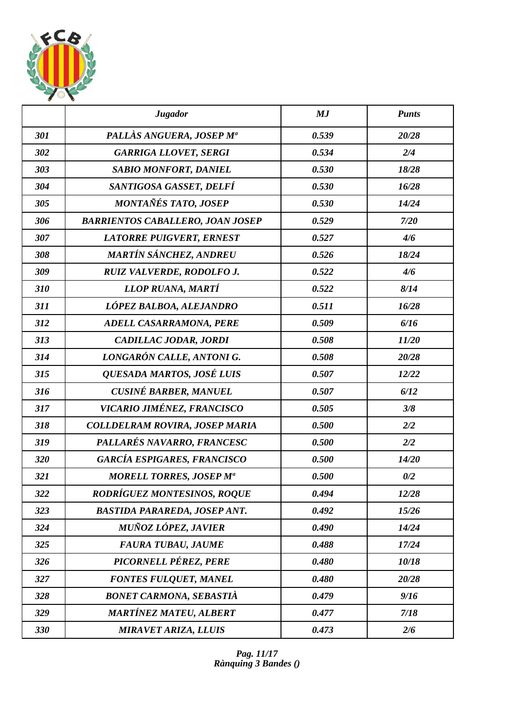

|     | <b>Jugador</b>                          | MJ    | <b>Punts</b> |
|-----|-----------------------------------------|-------|--------------|
| 301 | PALLÀS ANGUERA, JOSEP Mª                | 0.539 | 20/28        |
| 302 | <b>GARRIGA LLOVET, SERGI</b>            | 0.534 | 2/4          |
| 303 | <b>SABIO MONFORT, DANIEL</b>            | 0.530 | 18/28        |
| 304 | SANTIGOSA GASSET, DELFÍ                 | 0.530 | 16/28        |
| 305 | MONTAÑÉS TATO, JOSEP                    | 0.530 | 14/24        |
| 306 | <b>BARRIENTOS CABALLERO, JOAN JOSEP</b> | 0.529 | 7/20         |
| 307 | <b>LATORRE PUIGVERT, ERNEST</b>         | 0.527 | 4/6          |
| 308 | MARTÍN SÁNCHEZ, ANDREU                  | 0.526 | 18/24        |
| 309 | RUIZ VALVERDE, RODOLFO J.               | 0.522 | 4/6          |
| 310 | LLOP RUANA, MARTÍ                       | 0.522 | 8/14         |
| 311 | LÓPEZ BALBOA, ALEJANDRO                 | 0.511 | 16/28        |
| 312 | <b>ADELL CASARRAMONA, PERE</b>          | 0.509 | 6/16         |
| 313 | CADILLAC JODAR, JORDI                   | 0.508 | 11/20        |
| 314 | LONGARÓN CALLE, ANTONI G.               | 0.508 | 20/28        |
| 315 | QUESADA MARTOS, JOSÉ LUIS               | 0.507 | 12/22        |
| 316 | <b>CUSINÉ BARBER, MANUEL</b>            | 0.507 | 6/12         |
| 317 | VICARIO JIMÉNEZ, FRANCISCO              | 0.505 | 3/8          |
| 318 | <b>COLLDELRAM ROVIRA, JOSEP MARIA</b>   | 0.500 | 2/2          |
| 319 | PALLARÉS NAVARRO, FRANCESC              | 0.500 | 2/2          |
| 320 | <b>GARCÍA ESPIGARES, FRANCISCO</b>      | 0.500 | 14/20        |
| 321 | <b>MORELL TORRES, JOSEP Ma</b>          | 0.500 | 0/2          |
| 322 | RODRÍGUEZ MONTESINOS, ROQUE             | 0.494 | 12/28        |
| 323 | <b>BASTIDA PARAREDA, JOSEP ANT.</b>     | 0.492 | 15/26        |
| 324 | <b>MUÑOZ LÓPEZ, JAVIER</b>              | 0.490 | 14/24        |
| 325 | <b>FAURA TUBAU, JAUME</b>               | 0.488 | 17/24        |
| 326 | PICORNELL PÉREZ, PERE                   | 0.480 | 10/18        |
| 327 | <b>FONTES FULQUET, MANEL</b>            | 0.480 | 20/28        |
| 328 | <b>BONET CARMONA, SEBASTIÀ</b>          | 0.479 | 9/16         |
| 329 | <b>MARTÍNEZ MATEU, ALBERT</b>           | 0.477 | 7/18         |
| 330 | <b>MIRAVET ARIZA, LLUIS</b>             | 0.473 | 2/6          |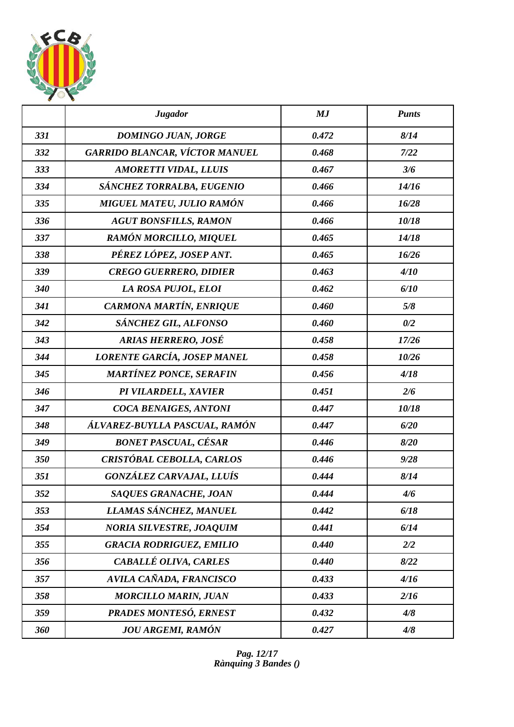

|     | <b>Jugador</b>                        | MJ    | <b>Punts</b> |
|-----|---------------------------------------|-------|--------------|
| 331 | DOMINGO JUAN, JORGE                   | 0.472 | 8/14         |
| 332 | <b>GARRIDO BLANCAR, VÍCTOR MANUEL</b> | 0.468 | 7/22         |
| 333 | <b>AMORETTI VIDAL, LLUIS</b>          | 0.467 | 3/6          |
| 334 | SÁNCHEZ TORRALBA, EUGENIO             | 0.466 | 14/16        |
| 335 | MIGUEL MATEU, JULIO RAMÓN             | 0.466 | 16/28        |
| 336 | <b>AGUT BONSFILLS, RAMON</b>          | 0.466 | 10/18        |
| 337 | <b>RAMÓN MORCILLO, MIQUEL</b>         | 0.465 | 14/18        |
| 338 | PÉREZ LÓPEZ, JOSEP ANT.               | 0.465 | 16/26        |
| 339 | <b>CREGO GUERRERO, DIDIER</b>         | 0.463 | 4/10         |
| 340 | LA ROSA PUJOL, ELOI                   | 0.462 | 6/10         |
| 341 | CARMONA MARTÍN, ENRIQUE               | 0.460 | 5/8          |
| 342 | SÁNCHEZ GIL, ALFONSO                  | 0.460 | 0/2          |
| 343 | <b>ARIAS HERRERO, JOSÉ</b>            | 0.458 | 17/26        |
| 344 | LORENTE GARCÍA, JOSEP MANEL           | 0.458 | 10/26        |
| 345 | <b>MARTÍNEZ PONCE, SERAFIN</b>        | 0.456 | 4/18         |
| 346 | PI VILARDELL, XAVIER                  | 0.451 | 2/6          |
| 347 | COCA BENAIGES, ANTONI                 | 0.447 | 10/18        |
| 348 | ÁLVAREZ-BUYLLA PASCUAL, RAMÓN         | 0.447 | 6/20         |
| 349 | <b>BONET PASCUAL, CÉSAR</b>           | 0.446 | 8/20         |
| 350 | CRISTÓBAL CEBOLLA, CARLOS             | 0.446 | 9/28         |
| 351 | GONZÁLEZ CARVAJAL, LLUÍS              | 0.444 | 8/14         |
| 352 | SAQUES GRANACHE, JOAN                 | 0.444 | 4/6          |
| 353 | LLAMAS SÁNCHEZ, MANUEL                | 0.442 | 6/18         |
| 354 | <b>NORIA SILVESTRE, JOAQUIM</b>       | 0.441 | 6/14         |
| 355 | <b>GRACIA RODRIGUEZ, EMILIO</b>       | 0.440 | 2/2          |
| 356 | CABALLÉ OLIVA, CARLES                 | 0.440 | 8/22         |
| 357 | AVILA CAÑADA, FRANCISCO               | 0.433 | 4/16         |
| 358 | <b>MORCILLO MARIN, JUAN</b>           | 0.433 | 2/16         |
| 359 | <b>PRADES MONTESÓ, ERNEST</b>         | 0.432 | 4/8          |
| 360 | <b>JOU ARGEMI, RAMÓN</b>              | 0.427 | 4/8          |

*Pag. 12/17 Rànquing 3 Bandes ()*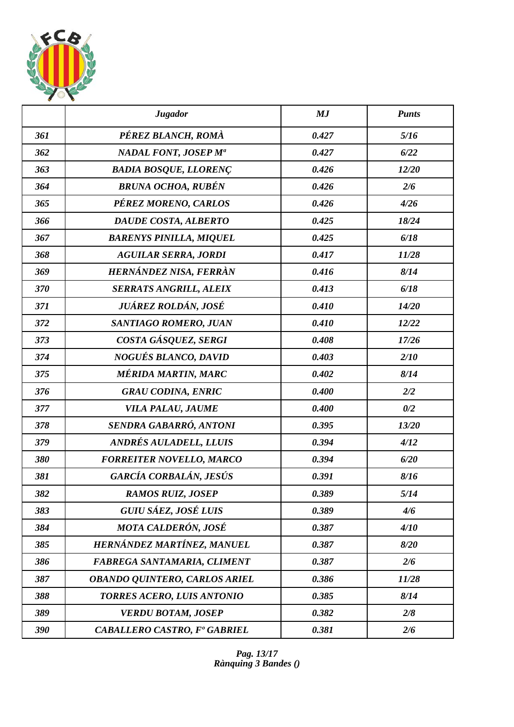

|     | <b>Jugador</b>                       | MJ    | <b>Punts</b> |
|-----|--------------------------------------|-------|--------------|
| 361 | PÉREZ BLANCH, ROMÀ                   | 0.427 | 5/16         |
| 362 | NADAL FONT, JOSEP M <sup>a</sup>     | 0.427 | 6/22         |
| 363 | <b>BADIA BOSQUE, LLORENÇ</b>         | 0.426 | 12/20        |
| 364 | <b>BRUNA OCHOA, RUBÉN</b>            | 0.426 | 2/6          |
| 365 | PÉREZ MORENO, CARLOS                 | 0.426 | 4/26         |
| 366 | DAUDE COSTA, ALBERTO                 | 0.425 | 18/24        |
| 367 | <b>BARENYS PINILLA, MIQUEL</b>       | 0.425 | 6/18         |
| 368 | <b>AGUILAR SERRA, JORDI</b>          | 0.417 | 11/28        |
| 369 | HERNÁNDEZ NISA, FERRÀN               | 0.416 | 8/14         |
| 370 | <b>SERRATS ANGRILL, ALEIX</b>        | 0.413 | 6/18         |
| 371 | JUÁREZ ROLDÁN, JOSÉ                  | 0.410 | 14/20        |
| 372 | SANTIAGO ROMERO, JUAN                | 0.410 | 12/22        |
| 373 | COSTA GÁSQUEZ, SERGI                 | 0.408 | 17/26        |
| 374 | NOGUÉS BLANCO, DAVID                 | 0.403 | 2/10         |
| 375 | <b>MÉRIDA MARTIN, MARC</b>           | 0.402 | 8/14         |
| 376 | <b>GRAU CODINA, ENRIC</b>            | 0.400 | 2/2          |
| 377 | VILA PALAU, JAUME                    | 0.400 | 0/2          |
| 378 | SENDRA GABARRÓ, ANTONI               | 0.395 | 13/20        |
| 379 | ANDRÉS AULADELL, LLUIS               | 0.394 | 4/12         |
| 380 | <b>FORREITER NOVELLO, MARCO</b>      | 0.394 | 6/20         |
| 381 | GARCÍA CORBALÁN, JESÚS               | 0.391 | 8/16         |
| 382 | <b>RAMOS RUIZ, JOSEP</b>             | 0.389 | 5/14         |
| 383 | GUIU SÁEZ, JOSÉ LUIS                 | 0.389 | 4/6          |
| 384 | <b>MOTA CALDERÓN, JOSÉ</b>           | 0.387 | 4/10         |
| 385 | HERNÁNDEZ MARTÍNEZ, MANUEL           | 0.387 | 8/20         |
| 386 | FABREGA SANTAMARIA, CLIMENT          | 0.387 | 2/6          |
| 387 | <b>OBANDO QUINTERO, CARLOS ARIEL</b> | 0.386 | 11/28        |
| 388 | TORRES ACERO, LUIS ANTONIO           | 0.385 | 8/14         |
| 389 | <b>VERDU BOTAM, JOSEP</b>            | 0.382 | 2/8          |
| 390 | <b>CABALLERO CASTRO, Fº GABRIEL</b>  | 0.381 | 2/6          |

*Pag. 13/17 Rànquing 3 Bandes ()*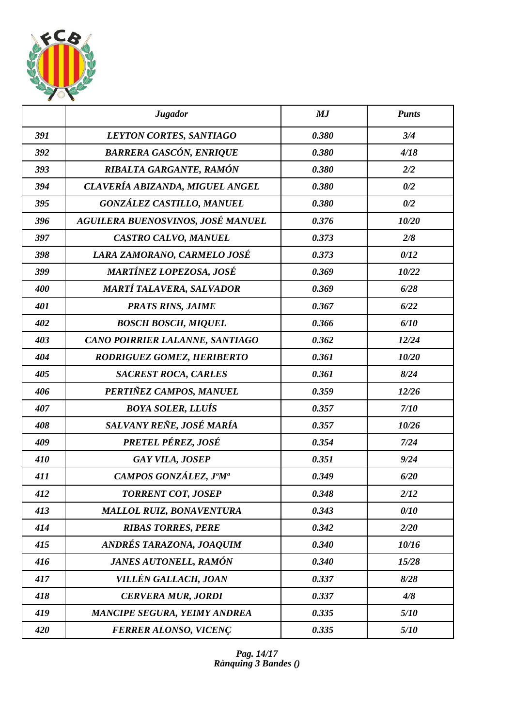

|     | <b>Jugador</b>                      | MJ    | <b>Punts</b> |
|-----|-------------------------------------|-------|--------------|
| 391 | LEYTON CORTES, SANTIAGO             | 0.380 | 3/4          |
| 392 | <b>BARRERA GASCÓN, ENRIQUE</b>      | 0.380 | 4/18         |
| 393 | RIBALTA GARGANTE, RAMÓN             | 0.380 | 2/2          |
| 394 | CLAVERÍA ABIZANDA, MIGUEL ANGEL     | 0.380 | 0/2          |
| 395 | <b>GONZÁLEZ CASTILLO, MANUEL</b>    | 0.380 | 0/2          |
| 396 | AGUILERA BUENOSVINOS, JOSÉ MANUEL   | 0.376 | 10/20        |
| 397 | CASTRO CALVO, MANUEL                | 0.373 | 2/8          |
| 398 | LARA ZAMORANO, CARMELO JOSÉ         | 0.373 | 0/12         |
| 399 | <b>MARTÍNEZ LOPEZOSA, JOSÉ</b>      | 0.369 | 10/22        |
| 400 | MARTÍ TALAVERA, SALVADOR            | 0.369 | 6/28         |
| 401 | <b>PRATS RINS, JAIME</b>            | 0.367 | 6/22         |
| 402 | <b>BOSCH BOSCH, MIQUEL</b>          | 0.366 | 6/10         |
| 403 | CANO POIRRIER LALANNE, SANTIAGO     | 0.362 | 12/24        |
| 404 | RODRIGUEZ GOMEZ, HERIBERTO          | 0.361 | 10/20        |
| 405 | <b>SACREST ROCA, CARLES</b>         | 0.361 | 8/24         |
| 406 | PERTIÑEZ CAMPOS, MANUEL             | 0.359 | 12/26        |
| 407 | <b>BOYA SOLER, LLUÍS</b>            | 0.357 | 7/10         |
| 408 | SALVANY REÑE, JOSÉ MARÍA            | 0.357 | 10/26        |
| 409 | PRETEL PÉREZ, JOSÉ                  | 0.354 | 7/24         |
| 410 | <b>GAY VILA, JOSEP</b>              | 0.351 | 9/24         |
| 411 | CAMPOS GONZÁLEZ, J°M <sup>a</sup>   | 0.349 | 6/20         |
| 412 | <b>TORRENT COT, JOSEP</b>           | 0.348 | 2/12         |
| 413 | <b>MALLOL RUIZ, BONAVENTURA</b>     | 0.343 | 0/10         |
| 414 | <b>RIBAS TORRES, PERE</b>           | 0.342 | 2/20         |
| 415 | ANDRÉS TARAZONA, JOAQUIM            | 0.340 | 10/16        |
| 416 | <b>JANES AUTONELL, RAMÓN</b>        | 0.340 | 15/28        |
| 417 | VILLÉN GALLACH, JOAN                | 0.337 | 8/28         |
| 418 | <b>CERVERA MUR, JORDI</b>           | 0.337 | 4/8          |
| 419 | <b>MANCIPE SEGURA, YEIMY ANDREA</b> | 0.335 | 5/10         |
| 420 | <b>FERRER ALONSO, VICENÇ</b>        | 0.335 | 5/10         |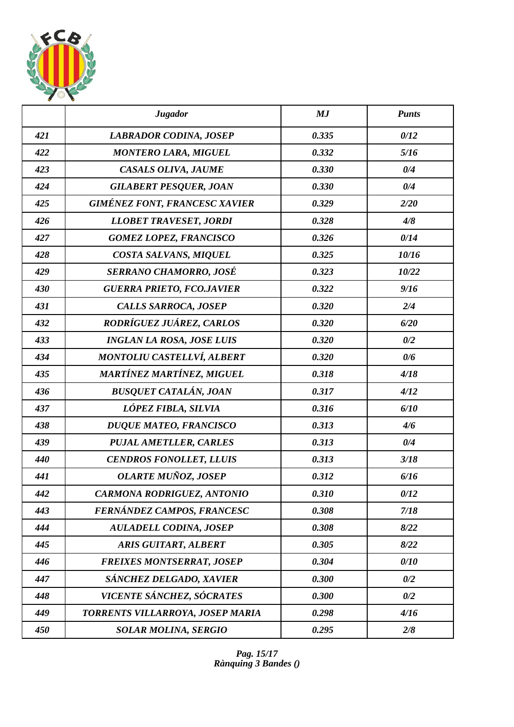

|     | <b>Jugador</b>                       | MJ    | <b>Punts</b> |
|-----|--------------------------------------|-------|--------------|
| 421 | <b>LABRADOR CODINA, JOSEP</b>        | 0.335 | 0/12         |
| 422 | <b>MONTERO LARA, MIGUEL</b>          | 0.332 | 5/16         |
| 423 | CASALS OLIVA, JAUME                  | 0.330 | 0/4          |
| 424 | <b>GILABERT PESQUER, JOAN</b>        | 0.330 | 0/4          |
| 425 | <b>GIMÉNEZ FONT, FRANCESC XAVIER</b> | 0.329 | 2/20         |
| 426 | <b>LLOBET TRAVESET, JORDI</b>        | 0.328 | 4/8          |
| 427 | <b>GOMEZ LOPEZ, FRANCISCO</b>        | 0.326 | 0/14         |
| 428 | COSTA SALVANS, MIQUEL                | 0.325 | 10/16        |
| 429 | <b>SERRANO CHAMORRO, JOSÉ</b>        | 0.323 | 10/22        |
| 430 | <b>GUERRA PRIETO, FCO.JAVIER</b>     | 0.322 | 9/16         |
| 431 | CALLS SARROCA, JOSEP                 | 0.320 | 2/4          |
| 432 | RODRÍGUEZ JUÁREZ, CARLOS             | 0.320 | 6/20         |
| 433 | <b>INGLAN LA ROSA, JOSE LUIS</b>     | 0.320 | 0/2          |
| 434 | <b>MONTOLIU CASTELLVÍ, ALBERT</b>    | 0.320 | 0/6          |
| 435 | <b>MARTÍNEZ MARTÍNEZ, MIGUEL</b>     | 0.318 | 4/18         |
| 436 | <b>BUSQUET CATALÁN, JOAN</b>         | 0.317 | 4/12         |
| 437 | LÓPEZ FIBLA, SILVIA                  | 0.316 | 6/10         |
| 438 | <b>DUQUE MATEO, FRANCISCO</b>        | 0.313 | 4/6          |
| 439 | <b>PUJAL AMETLLER, CARLES</b>        | 0.313 | 0/4          |
| 440 | <b>CENDROS FONOLLET, LLUIS</b>       | 0.313 | 3/18         |
| 441 | <b>OLARTE MUÑOZ, JOSEP</b>           | 0.312 | 6/16         |
| 442 | <b>CARMONA RODRIGUEZ, ANTONIO</b>    | 0.310 | 0/12         |
| 443 | FERNÁNDEZ CAMPOS, FRANCESC           | 0.308 | 7/18         |
| 444 | <b>AULADELL CODINA, JOSEP</b>        | 0.308 | 8/22         |
| 445 | <b>ARIS GUITART, ALBERT</b>          | 0.305 | 8/22         |
| 446 | <b>FREIXES MONTSERRAT, JOSEP</b>     | 0.304 | 0/10         |
| 447 | SÁNCHEZ DELGADO, XAVIER              | 0.300 | 0/2          |
| 448 | VICENTE SÁNCHEZ, SÓCRATES            | 0.300 | 0/2          |
| 449 | TORRENTS VILLARROYA, JOSEP MARIA     | 0.298 | 4/16         |
| 450 | <b>SOLAR MOLINA, SERGIO</b>          | 0.295 | 2/8          |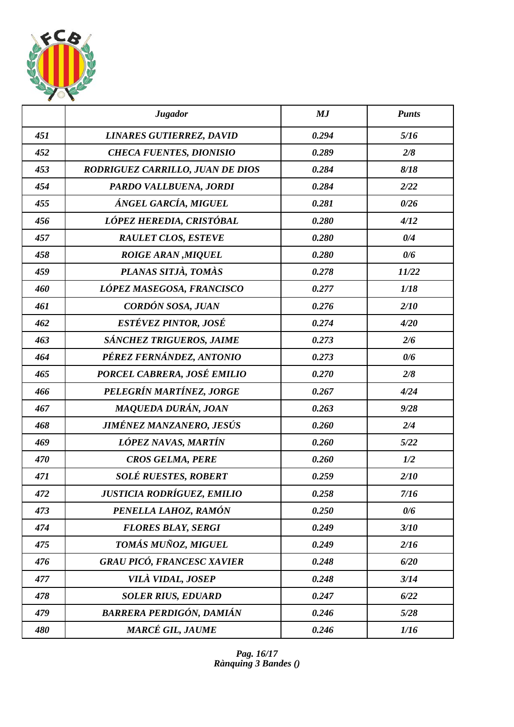

|     | <b>Jugador</b>                    | MJ    | <b>Punts</b> |
|-----|-----------------------------------|-------|--------------|
| 451 | <b>LINARES GUTIERREZ, DAVID</b>   | 0.294 | 5/16         |
| 452 | <b>CHECA FUENTES, DIONISIO</b>    | 0.289 | 2/8          |
| 453 | RODRIGUEZ CARRILLO, JUAN DE DIOS  | 0.284 | 8/18         |
| 454 | PARDO VALLBUENA, JORDI            | 0.284 | 2/22         |
| 455 | ÁNGEL GARCÍA, MIGUEL              | 0.281 | 0/26         |
| 456 | LÓPEZ HEREDIA, CRISTÓBAL          | 0.280 | 4/12         |
| 457 | <b>RAULET CLOS, ESTEVE</b>        | 0.280 | 0/4          |
| 458 | <b>ROIGE ARAN, MIQUEL</b>         | 0.280 | 0/6          |
| 459 | PLANAS SITJÀ, TOMÀS               | 0.278 | 11/22        |
| 460 | LÓPEZ MASEGOSA, FRANCISCO         | 0.277 | 1/18         |
| 461 | CORDÓN SOSA, JUAN                 | 0.276 | 2/10         |
| 462 | ESTÉVEZ PINTOR, JOSÉ              | 0.274 | 4/20         |
| 463 | SÁNCHEZ TRIGUEROS, JAIME          | 0.273 | 2/6          |
| 464 | PÉREZ FERNÁNDEZ, ANTONIO          | 0.273 | 0/6          |
| 465 | PORCEL CABRERA, JOSÉ EMILIO       | 0.270 | 2/8          |
| 466 | PELEGRÍN MARTÍNEZ, JORGE          | 0.267 | 4/24         |
| 467 | MAQUEDA DURÁN, JOAN               | 0.263 | 9/28         |
| 468 | JIMÉNEZ MANZANERO, JESÚS          | 0.260 | 2/4          |
| 469 | LÓPEZ NAVAS, MARTÍN               | 0.260 | 5/22         |
| 470 | <b>CROS GELMA, PERE</b>           | 0.260 | 1/2          |
| 471 | <b>SOLÉ RUESTES, ROBERT</b>       | 0.259 | 2/10         |
| 472 | JUSTICIA RODRÍGUEZ, EMILIO        | 0.258 | 7/16         |
| 473 | PENELLA LAHOZ, RAMÓN              | 0.250 | 0/6          |
| 474 | <b>FLORES BLAY, SERGI</b>         | 0.249 | 3/10         |
| 475 | TOMÁS MUÑOZ, MIGUEL               | 0.249 | 2/16         |
| 476 | <b>GRAU PICÓ, FRANCESC XAVIER</b> | 0.248 | 6/20         |
| 477 | <b>VILÀ VIDAL, JOSEP</b>          | 0.248 | 3/14         |
| 478 | <b>SOLER RIUS, EDUARD</b>         | 0.247 | 6/22         |
| 479 | <b>BARRERA PERDIGÓN, DAMIÁN</b>   | 0.246 | 5/28         |
| 480 | MARCÉ GIL, JAUME                  | 0.246 | 1/16         |